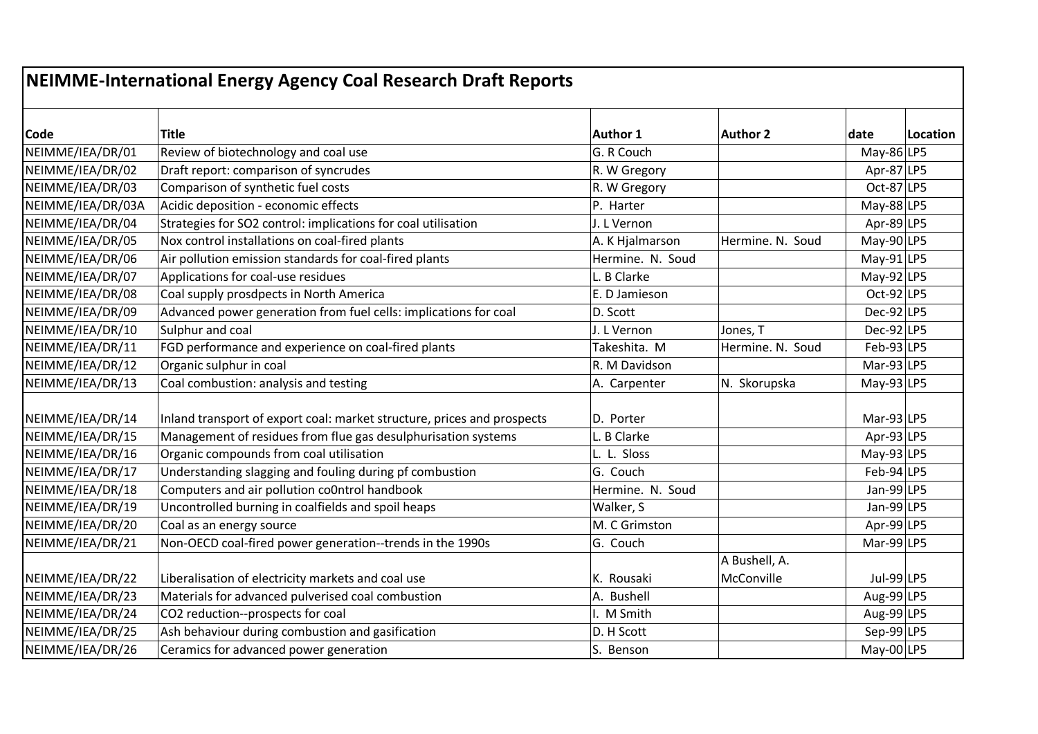|                   | NEIMME-International Energy Agency Coal Research Draft Reports          |                  |                  |               |          |
|-------------------|-------------------------------------------------------------------------|------------------|------------------|---------------|----------|
| <b>Code</b>       | Title                                                                   | <b>Author 1</b>  | <b>Author 2</b>  | date          | Location |
| NEIMME/IEA/DR/01  | Review of biotechnology and coal use                                    | G. R Couch       |                  | May-86 LP5    |          |
| NEIMME/IEA/DR/02  | Draft report: comparison of syncrudes                                   | R. W Gregory     |                  | Apr-87 LP5    |          |
| NEIMME/IEA/DR/03  | Comparison of synthetic fuel costs                                      | R. W Gregory     |                  | Oct-87 LP5    |          |
| NEIMME/IEA/DR/03A | Acidic deposition - economic effects                                    | P. Harter        |                  | May-88 $LP5$  |          |
| NEIMME/IEA/DR/04  | Strategies for SO2 control: implications for coal utilisation           | J. L Vernon      |                  | Apr-89 LP5    |          |
| NEIMME/IEA/DR/05  | Nox control installations on coal-fired plants                          | A. K Hjalmarson  | Hermine. N. Soud | May-90 $ LP5$ |          |
| NEIMME/IEA/DR/06  | Air pollution emission standards for coal-fired plants                  | Hermine. N. Soud |                  | May-91 $ LP5$ |          |
| NEIMME/IEA/DR/07  | Applications for coal-use residues                                      | L. B Clarke      |                  | May-92 $ LP5$ |          |
| NEIMME/IEA/DR/08  | Coal supply prosdpects in North America                                 | E. D Jamieson    |                  | Oct-92 LP5    |          |
| NEIMME/IEA/DR/09  | Advanced power generation from fuel cells: implications for coal        | D. Scott         |                  | $Dec-92$  LP5 |          |
| NEIMME/IEA/DR/10  | Sulphur and coal                                                        | J. L Vernon      | Jones, T         | $Dec-92$  LP5 |          |
| NEIMME/IEA/DR/11  | FGD performance and experience on coal-fired plants                     | Takeshita. M     | Hermine. N. Soud | $Feb-93$ LP5  |          |
| NEIMME/IEA/DR/12  | Organic sulphur in coal                                                 | R. M Davidson    |                  | Mar-93 $ LP5$ |          |
| NEIMME/IEA/DR/13  | Coal combustion: analysis and testing                                   | A. Carpenter     | N. Skorupska     | May-93 $ LP5$ |          |
| NEIMME/IEA/DR/14  | Inland transport of export coal: market structure, prices and prospects | D. Porter        |                  | Mar-93 $ LP5$ |          |
| NEIMME/IEA/DR/15  | Management of residues from flue gas desulphurisation systems           | L. B Clarke      |                  | Apr-93 LP5    |          |
| NEIMME/IEA/DR/16  | Organic compounds from coal utilisation                                 | L. L. Sloss      |                  | May-93 $ LP5$ |          |
| NEIMME/IEA/DR/17  | Understanding slagging and fouling during pf combustion                 | G. Couch         |                  | $Feb-94$ LP5  |          |
| NEIMME/IEA/DR/18  | Computers and air pollution co0ntrol handbook                           | Hermine. N. Soud |                  | Jan-99 $ LP5$ |          |
| NEIMME/IEA/DR/19  | Uncontrolled burning in coalfields and spoil heaps                      | Walker, S        |                  | Jan-99 LP5    |          |
| NEIMME/IEA/DR/20  | Coal as an energy source                                                | M. C Grimston    |                  | Apr-99 $ LP5$ |          |
| NEIMME/IEA/DR/21  | Non-OECD coal-fired power generation--trends in the 1990s               | G. Couch         |                  | $Mar-99 LP5$  |          |
|                   |                                                                         |                  | A Bushell, A.    |               |          |
| NEIMME/IEA/DR/22  | Liberalisation of electricity markets and coal use                      | K. Rousaki       | McConville       | Jul-99 LP5    |          |
| NEIMME/IEA/DR/23  | Materials for advanced pulverised coal combustion                       | A. Bushell       |                  | Aug-99 LP5    |          |
| NEIMME/IEA/DR/24  | CO2 reduction--prospects for coal                                       | I. M Smith       |                  | Aug-99 LP5    |          |
| NEIMME/IEA/DR/25  | Ash behaviour during combustion and gasification                        | D. H Scott       |                  | Sep-99 $ LP5$ |          |
| NEIMME/IEA/DR/26  | Ceramics for advanced power generation                                  | S. Benson        |                  | May-00 $ LP5$ |          |